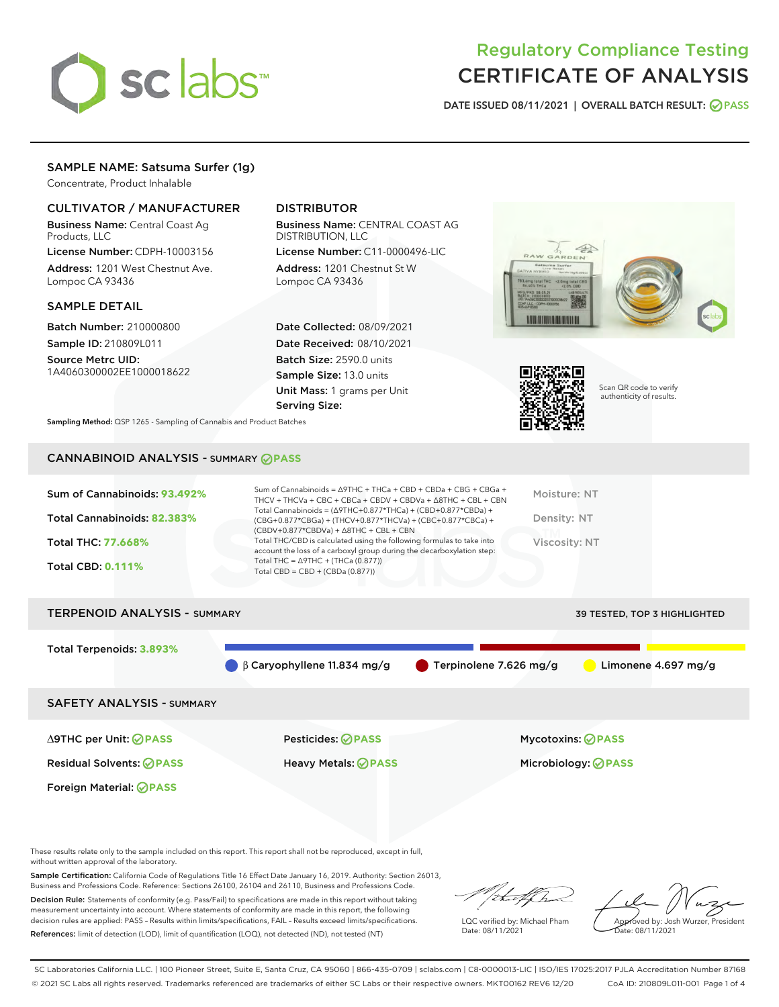

# Regulatory Compliance Testing CERTIFICATE OF ANALYSIS

DATE ISSUED 08/11/2021 | OVERALL BATCH RESULT: @ PASS

# SAMPLE NAME: Satsuma Surfer (1g)

Concentrate, Product Inhalable

# CULTIVATOR / MANUFACTURER

Business Name: Central Coast Ag Products, LLC

License Number: CDPH-10003156 Address: 1201 West Chestnut Ave. Lompoc CA 93436

### SAMPLE DETAIL

Batch Number: 210000800 Sample ID: 210809L011

Source Metrc UID: 1A4060300002EE1000018622

# DISTRIBUTOR

Business Name: CENTRAL COAST AG DISTRIBUTION, LLC

License Number: C11-0000496-LIC Address: 1201 Chestnut St W Lompoc CA 93436

Date Collected: 08/09/2021 Date Received: 08/10/2021 Batch Size: 2590.0 units Sample Size: 13.0 units Unit Mass: 1 grams per Unit Serving Size:





Scan QR code to verify authenticity of results.

Sampling Method: QSP 1265 - Sampling of Cannabis and Product Batches

# CANNABINOID ANALYSIS - SUMMARY **PASS**



| <b>TERPENOID ANALYSIS - SUMMARY</b> |                                              |                                       | 39 TESTED, TOP 3 HIGHLIGHTED  |
|-------------------------------------|----------------------------------------------|---------------------------------------|-------------------------------|
| Total Terpenoids: 3.893%            |                                              |                                       |                               |
|                                     | $\bigcirc$ $\beta$ Caryophyllene 11.834 mg/g | $\blacksquare$ Terpinolene 7.626 mg/g | Limonene $4.697 \text{ mg/g}$ |
| <b>SAFETY ANALYSIS - SUMMARY</b>    |                                              |                                       |                               |
|                                     |                                              |                                       |                               |

Foreign Material: **PASS**

∆9THC per Unit: **PASS** Pesticides: **PASS** Mycotoxins: **PASS**

Residual Solvents: **PASS** Heavy Metals: **PASS** Microbiology: **PASS**

These results relate only to the sample included on this report. This report shall not be reproduced, except in full, without written approval of the laboratory.

Sample Certification: California Code of Regulations Title 16 Effect Date January 16, 2019. Authority: Section 26013, Business and Professions Code. Reference: Sections 26100, 26104 and 26110, Business and Professions Code.

Decision Rule: Statements of conformity (e.g. Pass/Fail) to specifications are made in this report without taking measurement uncertainty into account. Where statements of conformity are made in this report, the following decision rules are applied: PASS – Results within limits/specifications, FAIL – Results exceed limits/specifications. References: limit of detection (LOD), limit of quantification (LOQ), not detected (ND), not tested (NT)

that f ha

LQC verified by: Michael Pham Date: 08/11/2021

Approved by: Josh Wurzer, President Date: 08/11/2021

SC Laboratories California LLC. | 100 Pioneer Street, Suite E, Santa Cruz, CA 95060 | 866-435-0709 | sclabs.com | C8-0000013-LIC | ISO/IES 17025:2017 PJLA Accreditation Number 87168 © 2021 SC Labs all rights reserved. Trademarks referenced are trademarks of either SC Labs or their respective owners. MKT00162 REV6 12/20 CoA ID: 210809L011-001 Page 1 of 4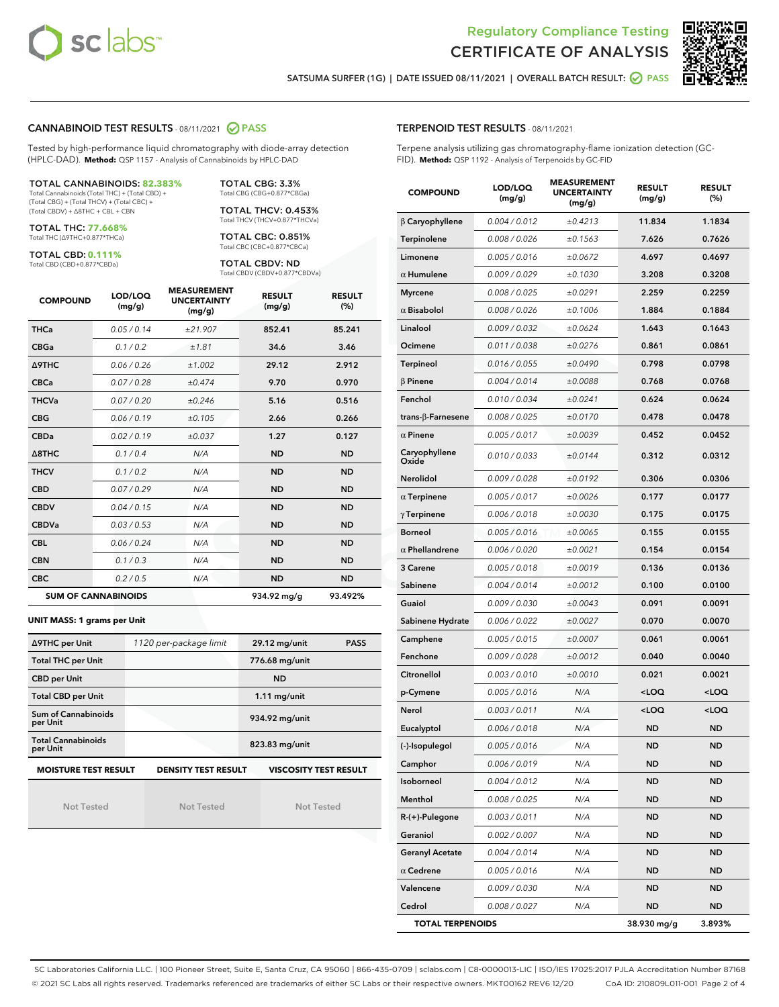



SATSUMA SURFER (1G) | DATE ISSUED 08/11/2021 | OVERALL BATCH RESULT: 2 PASS

### CANNABINOID TEST RESULTS - 08/11/2021 2 PASS

Tested by high-performance liquid chromatography with diode-array detection (HPLC-DAD). **Method:** QSP 1157 - Analysis of Cannabinoids by HPLC-DAD

#### TOTAL CANNABINOIDS: **82.383%**

Total Cannabinoids (Total THC) + (Total CBD) + (Total CBG) + (Total THCV) + (Total CBC) + (Total CBDV) + ∆8THC + CBL + CBN

TOTAL THC: **77.668%** Total THC (∆9THC+0.877\*THCa)

TOTAL CBD: **0.111%**

Total CBD (CBD+0.877\*CBDa)

TOTAL CBG: 3.3% Total CBG (CBG+0.877\*CBGa)

TOTAL THCV: 0.453% Total THCV (THCV+0.877\*THCVa)

TOTAL CBC: 0.851% Total CBC (CBC+0.877\*CBCa)

TOTAL CBDV: ND Total CBDV (CBDV+0.877\*CBDVa)

| <b>COMPOUND</b>            | LOD/LOQ<br>(mg/g) | <b>MEASUREMENT</b><br><b>UNCERTAINTY</b><br>(mg/g) | <b>RESULT</b><br>(mg/g) | <b>RESULT</b><br>(%) |
|----------------------------|-------------------|----------------------------------------------------|-------------------------|----------------------|
| <b>THCa</b>                | 0.05/0.14         | ±21.907                                            | 852.41                  | 85.241               |
| <b>CBGa</b>                | 0.1 / 0.2         | ±1.81                                              | 34.6                    | 3.46                 |
| Δ9THC                      | 0.06 / 0.26       | ±1.002                                             | 29.12                   | 2.912                |
| <b>CBCa</b>                | 0.07/0.28         | ±0.474                                             | 9.70                    | 0.970                |
| <b>THCVa</b>               | 0.07/0.20         | ±0.246                                             | 5.16                    | 0.516                |
| <b>CBG</b>                 | 0.06/0.19         | ±0.105                                             | 2.66                    | 0.266                |
| <b>CBDa</b>                | 0.02/0.19         | ±0.037                                             | 1.27                    | 0.127                |
| Δ8THC                      | 0.1/0.4           | N/A                                                | <b>ND</b>               | <b>ND</b>            |
| <b>THCV</b>                | 0.1/0.2           | N/A                                                | <b>ND</b>               | <b>ND</b>            |
| <b>CBD</b>                 | 0.07/0.29         | N/A                                                | <b>ND</b>               | <b>ND</b>            |
| <b>CBDV</b>                | 0.04 / 0.15       | N/A                                                | <b>ND</b>               | <b>ND</b>            |
| <b>CBDVa</b>               | 0.03/0.53         | N/A                                                | <b>ND</b>               | <b>ND</b>            |
| <b>CBL</b>                 | 0.06 / 0.24       | N/A                                                | <b>ND</b>               | <b>ND</b>            |
| <b>CBN</b>                 | 0.1/0.3           | N/A                                                | <b>ND</b>               | <b>ND</b>            |
| <b>CBC</b>                 | 0.2 / 0.5         | N/A                                                | <b>ND</b>               | <b>ND</b>            |
| <b>SUM OF CANNABINOIDS</b> |                   |                                                    | 934.92 mg/g             | 93.492%              |

#### **UNIT MASS: 1 grams per Unit**

| ∆9THC per Unit                        | 1120 per-package limit     | 29.12 mg/unit<br><b>PASS</b> |
|---------------------------------------|----------------------------|------------------------------|
| <b>Total THC per Unit</b>             |                            | 776.68 mg/unit               |
| <b>CBD per Unit</b>                   |                            | <b>ND</b>                    |
| <b>Total CBD per Unit</b>             |                            | $1.11$ mg/unit               |
| Sum of Cannabinoids<br>per Unit       |                            | 934.92 mg/unit               |
| <b>Total Cannabinoids</b><br>per Unit |                            | 823.83 mg/unit               |
| <b>MOISTURE TEST RESULT</b>           | <b>DENSITY TEST RESULT</b> | <b>VISCOSITY TEST RESULT</b> |

Not Tested

Not Tested

Not Tested

### TERPENOID TEST RESULTS - 08/11/2021

Terpene analysis utilizing gas chromatography-flame ionization detection (GC-FID). **Method:** QSP 1192 - Analysis of Terpenoids by GC-FID

| <b>COMPOUND</b>           | LOD/LOQ<br>(mg/g) | <b>MEASUREMENT</b><br><b>UNCERTAINTY</b><br>(mg/g) | <b>RESULT</b><br>(mg/g)                         | <b>RESULT</b><br>$(\%)$ |
|---------------------------|-------------------|----------------------------------------------------|-------------------------------------------------|-------------------------|
| $\beta$ Caryophyllene     | 0.004 / 0.012     | ±0.4213                                            | 11.834                                          | 1.1834                  |
| Terpinolene               | 0.008 / 0.026     | ±0.1563                                            | 7.626                                           | 0.7626                  |
| Limonene                  | 0.005 / 0.016     | ±0.0672                                            | 4.697                                           | 0.4697                  |
| $\alpha$ Humulene         | 0.009 / 0.029     | ±0.1030                                            | 3.208                                           | 0.3208                  |
| <b>Myrcene</b>            | 0.008 / 0.025     | ±0.0291                                            | 2.259                                           | 0.2259                  |
| $\alpha$ Bisabolol        | 0.008 / 0.026     | ±0.1006                                            | 1.884                                           | 0.1884                  |
| Linalool                  | 0.009 / 0.032     | ±0.0624                                            | 1.643                                           | 0.1643                  |
| Ocimene                   | 0.011 / 0.038     | ±0.0276                                            | 0.861                                           | 0.0861                  |
| Terpineol                 | 0.016 / 0.055     | ±0.0490                                            | 0.798                                           | 0.0798                  |
| $\beta$ Pinene            | 0.004 / 0.014     | ±0.0088                                            | 0.768                                           | 0.0768                  |
| Fenchol                   | 0.010 / 0.034     | ±0.0241                                            | 0.624                                           | 0.0624                  |
| trans- $\beta$ -Farnesene | 0.008 / 0.025     | ±0.0170                                            | 0.478                                           | 0.0478                  |
| $\alpha$ Pinene           | 0.005 / 0.017     | ±0.0039                                            | 0.452                                           | 0.0452                  |
| Caryophyllene<br>Oxide    | 0.010 / 0.033     | ±0.0144                                            | 0.312                                           | 0.0312                  |
| <b>Nerolidol</b>          | 0.009 / 0.028     | ±0.0192                                            | 0.306                                           | 0.0306                  |
| $\alpha$ Terpinene        | 0.005 / 0.017     | ±0.0026                                            | 0.177                                           | 0.0177                  |
| $\gamma$ Terpinene        | 0.006 / 0.018     | ±0.0030                                            | 0.175                                           | 0.0175                  |
| <b>Borneol</b>            | 0.005 / 0.016     | ±0.0065                                            | 0.155                                           | 0.0155                  |
| $\alpha$ Phellandrene     | 0.006 / 0.020     | ±0.0021                                            | 0.154                                           | 0.0154                  |
| 3 Carene                  | 0.005 / 0.018     | ±0.0019                                            | 0.136                                           | 0.0136                  |
| Sabinene                  | 0.004 / 0.014     | ±0.0012                                            | 0.100                                           | 0.0100                  |
| Guaiol                    | 0.009 / 0.030     | ±0.0043                                            | 0.091                                           | 0.0091                  |
| Sabinene Hydrate          | 0.006 / 0.022     | ±0.0027                                            | 0.070                                           | 0.0070                  |
| Camphene                  | 0.005 / 0.015     | ±0.0007                                            | 0.061                                           | 0.0061                  |
| Fenchone                  | 0.009 / 0.028     | ±0.0012                                            | 0.040                                           | 0.0040                  |
| Citronellol               | 0.003 / 0.010     | ±0.0010                                            | 0.021                                           | 0.0021                  |
| p-Cymene                  | 0.005 / 0.016     | N/A                                                | <loq< th=""><th><loq< th=""></loq<></th></loq<> | <loq< th=""></loq<>     |
| Nerol                     | 0.003 / 0.011     | N/A                                                | <loq< th=""><th><loq< th=""></loq<></th></loq<> | <loq< th=""></loq<>     |
| Eucalyptol                | 0.006 / 0.018     | N/A                                                | ND                                              | <b>ND</b>               |
| (-)-Isopulegol            | 0.005 / 0.016     | N/A                                                | <b>ND</b>                                       | <b>ND</b>               |
| Camphor                   | 0.006 / 0.019     | N/A                                                | ND                                              | ND                      |
| Isoborneol                | 0.004 / 0.012     | N/A                                                | ND                                              | <b>ND</b>               |
| Menthol                   | 0.008 / 0.025     | N/A                                                | ND                                              | ND                      |
| R-(+)-Pulegone            | 0.003 / 0.011     | N/A                                                | ND                                              | <b>ND</b>               |
| Geraniol                  | 0.002 / 0.007     | N/A                                                | ND                                              | ND                      |
| <b>Geranyl Acetate</b>    | 0.004 / 0.014     | N/A                                                | ND                                              | ND                      |
| $\alpha$ Cedrene          | 0.005 / 0.016     | N/A                                                | ND                                              | <b>ND</b>               |
| Valencene                 | 0.009 / 0.030     | N/A                                                | ND                                              | ND                      |
| Cedrol                    | 0.008 / 0.027     | N/A                                                | ND                                              | <b>ND</b>               |
| <b>TOTAL TERPENOIDS</b>   |                   |                                                    | 38.930 mg/g                                     | 3.893%                  |

SC Laboratories California LLC. | 100 Pioneer Street, Suite E, Santa Cruz, CA 95060 | 866-435-0709 | sclabs.com | C8-0000013-LIC | ISO/IES 17025:2017 PJLA Accreditation Number 87168 © 2021 SC Labs all rights reserved. Trademarks referenced are trademarks of either SC Labs or their respective owners. MKT00162 REV6 12/20 CoA ID: 210809L011-001 Page 2 of 4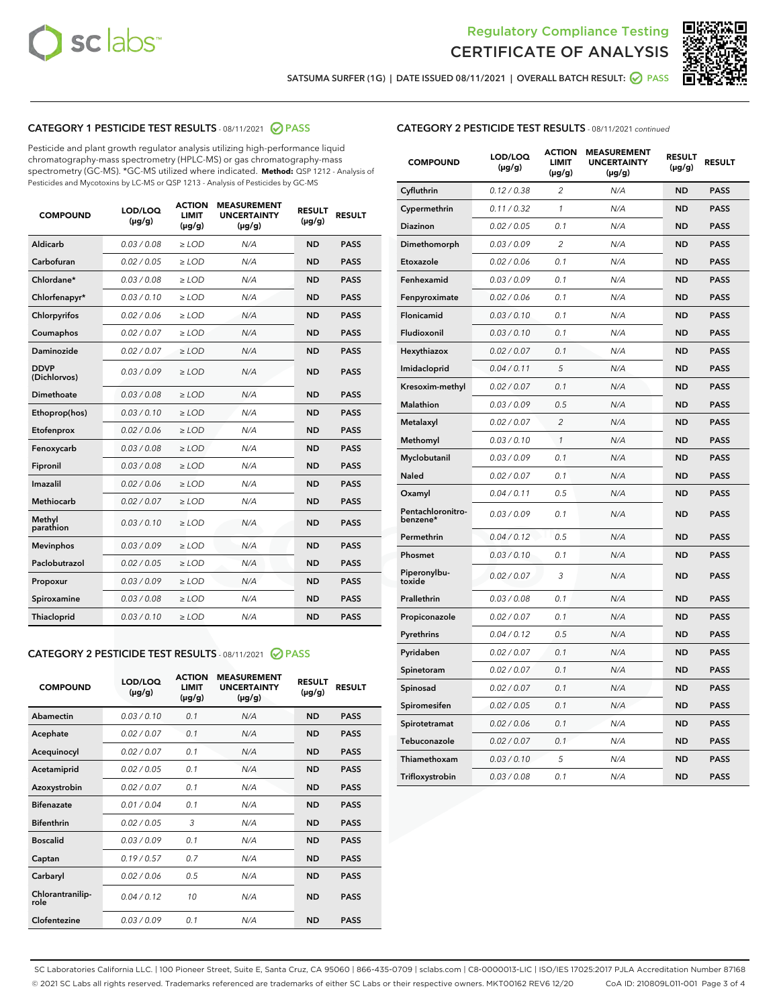



SATSUMA SURFER (1G) | DATE ISSUED 08/11/2021 | OVERALL BATCH RESULT: @ PASS

# CATEGORY 1 PESTICIDE TEST RESULTS - 08/11/2021 2 PASS

Pesticide and plant growth regulator analysis utilizing high-performance liquid chromatography-mass spectrometry (HPLC-MS) or gas chromatography-mass spectrometry (GC-MS). \*GC-MS utilized where indicated. **Method:** QSP 1212 - Analysis of Pesticides and Mycotoxins by LC-MS or QSP 1213 - Analysis of Pesticides by GC-MS

| <b>COMPOUND</b>             | LOD/LOQ<br>$(\mu g/g)$ | <b>ACTION</b><br><b>LIMIT</b><br>$(\mu g/g)$ | <b>MEASUREMENT</b><br><b>UNCERTAINTY</b><br>$(\mu g/g)$ | <b>RESULT</b><br>$(\mu g/g)$ | <b>RESULT</b> |
|-----------------------------|------------------------|----------------------------------------------|---------------------------------------------------------|------------------------------|---------------|
| Aldicarb                    | 0.03 / 0.08            | $\geq$ LOD                                   | N/A                                                     | <b>ND</b>                    | <b>PASS</b>   |
| Carbofuran                  | 0.02/0.05              | $>$ LOD                                      | N/A                                                     | <b>ND</b>                    | <b>PASS</b>   |
| Chlordane*                  | 0.03 / 0.08            | ≥ LOD                                        | N/A                                                     | <b>ND</b>                    | <b>PASS</b>   |
| Chlorfenapyr*               | 0.03/0.10              | $\ge$ LOD                                    | N/A                                                     | <b>ND</b>                    | <b>PASS</b>   |
| Chlorpyrifos                | 0.02 / 0.06            | $\geq$ LOD                                   | N/A                                                     | <b>ND</b>                    | <b>PASS</b>   |
| Coumaphos                   | 0.02 / 0.07            | $>$ LOD                                      | N/A                                                     | <b>ND</b>                    | <b>PASS</b>   |
| Daminozide                  | 0.02 / 0.07            | $\geq$ LOD                                   | N/A                                                     | <b>ND</b>                    | <b>PASS</b>   |
| <b>DDVP</b><br>(Dichlorvos) | 0.03/0.09              | $\geq$ LOD                                   | N/A                                                     | <b>ND</b>                    | <b>PASS</b>   |
| <b>Dimethoate</b>           | 0.03 / 0.08            | $\ge$ LOD                                    | N/A                                                     | <b>ND</b>                    | <b>PASS</b>   |
| Ethoprop(hos)               | 0.03/0.10              | $>$ LOD                                      | N/A                                                     | <b>ND</b>                    | <b>PASS</b>   |
| Etofenprox                  | 0.02 / 0.06            | $\geq$ LOD                                   | N/A                                                     | <b>ND</b>                    | <b>PASS</b>   |
| Fenoxycarb                  | 0.03 / 0.08            | $>$ LOD                                      | N/A                                                     | <b>ND</b>                    | <b>PASS</b>   |
| Fipronil                    | 0.03 / 0.08            | $\geq$ LOD                                   | N/A                                                     | <b>ND</b>                    | <b>PASS</b>   |
| Imazalil                    | 0.02 / 0.06            | $\geq$ LOD                                   | N/A                                                     | <b>ND</b>                    | <b>PASS</b>   |
| Methiocarb                  | 0.02 / 0.07            | ≥ LOD                                        | N/A                                                     | <b>ND</b>                    | <b>PASS</b>   |
| Methyl<br>parathion         | 0.03/0.10              | $>$ LOD                                      | N/A                                                     | <b>ND</b>                    | <b>PASS</b>   |
| <b>Mevinphos</b>            | 0.03/0.09              | $>$ LOD                                      | N/A                                                     | <b>ND</b>                    | <b>PASS</b>   |
| Paclobutrazol               | 0.02 / 0.05            | $\geq$ LOD                                   | N/A                                                     | <b>ND</b>                    | <b>PASS</b>   |
| Propoxur                    | 0.03/0.09              | ≥ LOD                                        | N/A                                                     | <b>ND</b>                    | <b>PASS</b>   |
| Spiroxamine                 | 0.03 / 0.08            | $\ge$ LOD                                    | N/A                                                     | <b>ND</b>                    | <b>PASS</b>   |
| <b>Thiacloprid</b>          | 0.03/0.10              | $\geq$ LOD                                   | N/A                                                     | <b>ND</b>                    | <b>PASS</b>   |
|                             |                        |                                              |                                                         |                              |               |

# CATEGORY 2 PESTICIDE TEST RESULTS - 08/11/2021 @ PASS

| <b>COMPOUND</b>          | LOD/LOO<br>$(\mu g/g)$ | <b>ACTION</b><br>LIMIT<br>$(\mu g/g)$ | <b>MEASUREMENT</b><br><b>UNCERTAINTY</b><br>$(\mu g/g)$ | <b>RESULT</b><br>$(\mu g/g)$ | <b>RESULT</b> |  |
|--------------------------|------------------------|---------------------------------------|---------------------------------------------------------|------------------------------|---------------|--|
| Abamectin                | 0.03/0.10              | 0.1                                   | N/A                                                     | <b>ND</b>                    | <b>PASS</b>   |  |
| Acephate                 | 0.02/0.07              | 0.1                                   | N/A                                                     | <b>ND</b>                    | <b>PASS</b>   |  |
| Acequinocyl              | 0.02/0.07              | 0.1                                   | N/A                                                     | <b>ND</b>                    | <b>PASS</b>   |  |
| Acetamiprid              | 0.02/0.05              | 0.1                                   | N/A                                                     | <b>ND</b>                    | <b>PASS</b>   |  |
| Azoxystrobin             | 0.02/0.07              | 0.1                                   | N/A                                                     | <b>ND</b>                    | <b>PASS</b>   |  |
| <b>Bifenazate</b>        | 0.01/0.04              | 0.1                                   | N/A                                                     | <b>ND</b>                    | <b>PASS</b>   |  |
| <b>Bifenthrin</b>        | 0.02/0.05              | 3                                     | N/A                                                     | <b>ND</b>                    | <b>PASS</b>   |  |
| <b>Boscalid</b>          | 0.03/0.09              | 0.1                                   | N/A                                                     | <b>ND</b>                    | <b>PASS</b>   |  |
| Captan                   | 0.19/0.57              | 0.7                                   | N/A                                                     | <b>ND</b>                    | <b>PASS</b>   |  |
| Carbaryl                 | 0.02/0.06              | 0.5                                   | N/A                                                     | <b>ND</b>                    | <b>PASS</b>   |  |
| Chlorantranilip-<br>role | 0.04/0.12              | 10                                    | N/A                                                     | <b>ND</b>                    | <b>PASS</b>   |  |
| Clofentezine             | 0.03/0.09              | 0.1                                   | N/A                                                     | <b>ND</b>                    | <b>PASS</b>   |  |

# CATEGORY 2 PESTICIDE TEST RESULTS - 08/11/2021 continued

| <b>COMPOUND</b>               | LOD/LOQ<br>(µg/g) | <b>ACTION</b><br><b>LIMIT</b><br>$(\mu g/g)$ | <b>MEASUREMENT</b><br><b>UNCERTAINTY</b><br>$(\mu g/g)$ | <b>RESULT</b><br>(µg/g) | <b>RESULT</b> |
|-------------------------------|-------------------|----------------------------------------------|---------------------------------------------------------|-------------------------|---------------|
| Cyfluthrin                    | 0.12 / 0.38       | $\overline{c}$                               | N/A                                                     | <b>ND</b>               | <b>PASS</b>   |
| Cypermethrin                  | 0.11 / 0.32       | 1                                            | N/A                                                     | ND                      | <b>PASS</b>   |
| Diazinon                      | 0.02 / 0.05       | 0.1                                          | N/A                                                     | ND                      | <b>PASS</b>   |
| Dimethomorph                  | 0.03 / 0.09       | 2                                            | N/A                                                     | ND                      | <b>PASS</b>   |
| Etoxazole                     | 0.02 / 0.06       | 0.1                                          | N/A                                                     | <b>ND</b>               | <b>PASS</b>   |
| Fenhexamid                    | 0.03 / 0.09       | 0.1                                          | N/A                                                     | <b>ND</b>               | <b>PASS</b>   |
| Fenpyroximate                 | 0.02 / 0.06       | 0.1                                          | N/A                                                     | ND                      | <b>PASS</b>   |
| Flonicamid                    | 0.03 / 0.10       | 0.1                                          | N/A                                                     | ND                      | <b>PASS</b>   |
| Fludioxonil                   | 0.03 / 0.10       | 0.1                                          | N/A                                                     | <b>ND</b>               | <b>PASS</b>   |
| Hexythiazox                   | 0.02 / 0.07       | 0.1                                          | N/A                                                     | ND                      | <b>PASS</b>   |
| Imidacloprid                  | 0.04 / 0.11       | 5                                            | N/A                                                     | ND                      | <b>PASS</b>   |
| Kresoxim-methyl               | 0.02 / 0.07       | 0.1                                          | N/A                                                     | <b>ND</b>               | <b>PASS</b>   |
| <b>Malathion</b>              | 0.03 / 0.09       | 0.5                                          | N/A                                                     | ND                      | <b>PASS</b>   |
| Metalaxyl                     | 0.02 / 0.07       | $\overline{c}$                               | N/A                                                     | ND                      | <b>PASS</b>   |
| Methomyl                      | 0.03 / 0.10       | 1                                            | N/A                                                     | <b>ND</b>               | <b>PASS</b>   |
| Myclobutanil                  | 0.03 / 0.09       | 0.1                                          | N/A                                                     | ND                      | <b>PASS</b>   |
| Naled                         | 0.02 / 0.07       | 0.1                                          | N/A                                                     | ND                      | <b>PASS</b>   |
| Oxamyl                        | 0.04 / 0.11       | 0.5                                          | N/A                                                     | ND                      | <b>PASS</b>   |
| Pentachloronitro-<br>benzene* | 0.03 / 0.09       | 0.1                                          | N/A                                                     | ND                      | <b>PASS</b>   |
| Permethrin                    | 0.04 / 0.12       | 0.5                                          | N/A                                                     | <b>ND</b>               | <b>PASS</b>   |
| Phosmet                       | 0.03 / 0.10       | 0.1                                          | N/A                                                     | <b>ND</b>               | <b>PASS</b>   |
| Piperonylbu-<br>toxide        | 0.02 / 0.07       | 3                                            | N/A                                                     | ND                      | <b>PASS</b>   |
| Prallethrin                   | 0.03 / 0.08       | 0.1                                          | N/A                                                     | <b>ND</b>               | <b>PASS</b>   |
| Propiconazole                 | 0.02 / 0.07       | 0.1                                          | N/A                                                     | ND                      | <b>PASS</b>   |
| Pyrethrins                    | 0.04 / 0.12       | 0.5                                          | N/A                                                     | ND                      | <b>PASS</b>   |
| Pyridaben                     | 0.02 / 0.07       | 0.1                                          | N/A                                                     | ND                      | <b>PASS</b>   |
| Spinetoram                    | 0.02 / 0.07       | 0.1                                          | N/A                                                     | ND                      | <b>PASS</b>   |
| Spinosad                      | 0.02 / 0.07       | 0.1                                          | N/A                                                     | ND                      | <b>PASS</b>   |
| Spiromesifen                  | 0.02 / 0.05       | 0.1                                          | N/A                                                     | <b>ND</b>               | <b>PASS</b>   |
| Spirotetramat                 | 0.02 / 0.06       | 0.1                                          | N/A                                                     | ND                      | <b>PASS</b>   |
| Tebuconazole                  | 0.02 / 0.07       | 0.1                                          | N/A                                                     | ND                      | <b>PASS</b>   |
| Thiamethoxam                  | 0.03 / 0.10       | 5                                            | N/A                                                     | <b>ND</b>               | <b>PASS</b>   |
| Trifloxystrobin               | 0.03 / 0.08       | 0.1                                          | N/A                                                     | <b>ND</b>               | <b>PASS</b>   |

SC Laboratories California LLC. | 100 Pioneer Street, Suite E, Santa Cruz, CA 95060 | 866-435-0709 | sclabs.com | C8-0000013-LIC | ISO/IES 17025:2017 PJLA Accreditation Number 87168 © 2021 SC Labs all rights reserved. Trademarks referenced are trademarks of either SC Labs or their respective owners. MKT00162 REV6 12/20 CoA ID: 210809L011-001 Page 3 of 4